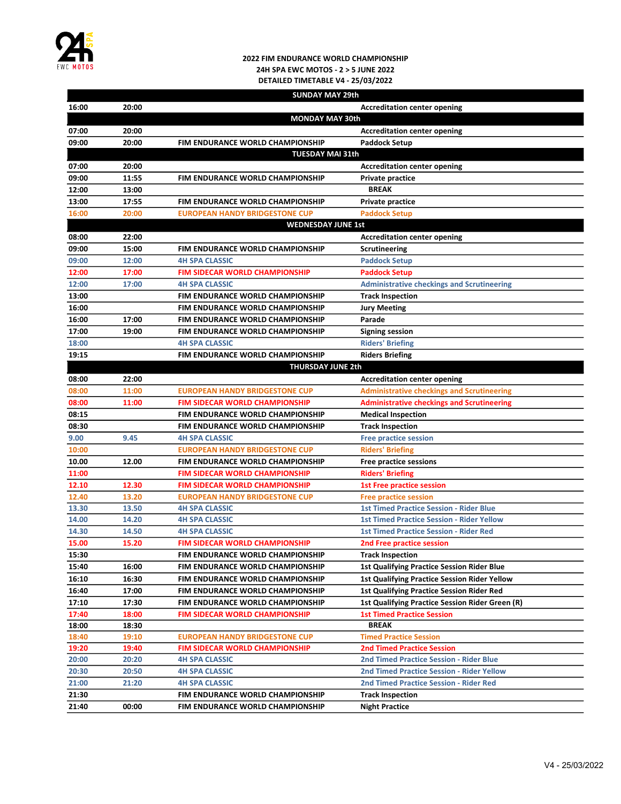

## 2022 FIM ENDURANCE WORLD CHAMPIONSHIP 24H SPA EWC MOTOS - 2 > 5 JUNE 2022 DETAILED TIMETABLE V4 - 25/03/2022

|       |       | <b>SUNDAY MAY 29th</b>                  |                                                     |
|-------|-------|-----------------------------------------|-----------------------------------------------------|
| 16:00 | 20:00 |                                         | <b>Accreditation center opening</b>                 |
|       |       | <b>MONDAY MAY 30th</b>                  |                                                     |
| 07:00 | 20:00 |                                         | <b>Accreditation center opening</b>                 |
| 09:00 | 20:00 | FIM ENDURANCE WORLD CHAMPIONSHIP        | <b>Paddock Setup</b>                                |
|       |       | <b>TUESDAY MAI 31th</b>                 |                                                     |
| 07:00 | 20:00 |                                         | <b>Accreditation center opening</b>                 |
| 09:00 | 11:55 | <b>FIM ENDURANCE WORLD CHAMPIONSHIP</b> | Private practice                                    |
| 12:00 | 13:00 |                                         | <b>BREAK</b>                                        |
| 13:00 | 17:55 | FIM ENDURANCE WORLD CHAMPIONSHIP        | Private practice                                    |
| 16:00 | 20:00 | <b>EUROPEAN HANDY BRIDGESTONE CUP</b>   | <b>Paddock Setup</b>                                |
|       |       | <b>WEDNESDAY JUNE 1st</b>               |                                                     |
| 08:00 | 22:00 |                                         | <b>Accreditation center opening</b>                 |
| 09:00 | 15:00 | <b>FIM ENDURANCE WORLD CHAMPIONSHIP</b> | <b>Scrutineering</b>                                |
| 09:00 | 12:00 | <b>4H SPA CLASSIC</b>                   | <b>Paddock Setup</b>                                |
| 12:00 | 17:00 | <b>FIM SIDECAR WORLD CHAMPIONSHIP</b>   | <b>Paddock Setup</b>                                |
| 12:00 | 17:00 | <b>4H SPA CLASSIC</b>                   | <b>Administrative checkings and Scrutineering</b>   |
| 13:00 |       | <b>FIM ENDURANCE WORLD CHAMPIONSHIP</b> | <b>Track Inspection</b>                             |
| 16:00 |       | <b>FIM ENDURANCE WORLD CHAMPIONSHIP</b> | <b>Jury Meeting</b>                                 |
| 16:00 | 17:00 | <b>FIM ENDURANCE WORLD CHAMPIONSHIP</b> | Parade                                              |
| 17:00 | 19:00 | FIM ENDURANCE WORLD CHAMPIONSHIP        | <b>Signing session</b>                              |
| 18:00 |       | <b>4H SPA CLASSIC</b>                   | <b>Riders' Briefing</b>                             |
| 19:15 |       | <b>FIM ENDURANCE WORLD CHAMPIONSHIP</b> | <b>Riders Briefing</b>                              |
|       |       | <b>THURSDAY JUNE 2th</b>                |                                                     |
| 08:00 | 22:00 |                                         | <b>Accreditation center opening</b>                 |
| 08:00 | 11:00 | <b>EUROPEAN HANDY BRIDGESTONE CUP</b>   | <b>Administrative checkings and Scrutineering</b>   |
| 08:00 | 11:00 | <b>FIM SIDECAR WORLD CHAMPIONSHIP</b>   | <b>Administrative checkings and Scrutineering</b>   |
| 08:15 |       | <b>FIM ENDURANCE WORLD CHAMPIONSHIP</b> | <b>Medical Inspection</b>                           |
| 08:30 |       | FIM ENDURANCE WORLD CHAMPIONSHIP        | <b>Track Inspection</b>                             |
| 9.00  | 9.45  | <b>4H SPA CLASSIC</b>                   | <b>Free practice session</b>                        |
| 10:00 |       | <b>EUROPEAN HANDY BRIDGESTONE CUP</b>   | <b>Riders' Briefing</b>                             |
| 10.00 | 12.00 | <b>FIM ENDURANCE WORLD CHAMPIONSHIP</b> | <b>Free practice sessions</b>                       |
| 11:00 |       | <b>FIM SIDECAR WORLD CHAMPIONSHIP</b>   | <b>Riders' Briefing</b>                             |
| 12.10 | 12.30 | <b>FIM SIDECAR WORLD CHAMPIONSHIP</b>   | <b>1st Free practice session</b>                    |
| 12.40 | 13.20 | <b>EUROPEAN HANDY BRIDGESTONE CUP</b>   | <b>Free practice session</b>                        |
| 13.30 | 13.50 | <b>4H SPA CLASSIC</b>                   | <b>1st Timed Practice Session - Rider Blue</b>      |
| 14.00 | 14.20 | <b>4H SPA CLASSIC</b>                   | <b>1st Timed Practice Session - Rider Yellow</b>    |
| 14.30 | 14.50 | <b>4H SPA CLASSIC</b>                   | <b>1st Timed Practice Session - Rider Red</b>       |
| 15.00 | 15.20 | FIM SIDECAR WORLD CHAMPIONSHIP          | 2nd Free practice session                           |
| 15:30 |       | FIM ENDURANCE WORLD CHAMPIONSHIP        | <b>Track Inspection</b>                             |
| 15:40 | 16:00 | FIM ENDURANCE WORLD CHAMPIONSHIP        | <b>1st Qualifying Practice Session Rider Blue</b>   |
| 16:10 | 16:30 | FIM ENDURANCE WORLD CHAMPIONSHIP        | <b>1st Qualifying Practice Session Rider Yellow</b> |
| 16:40 | 17:00 | FIM ENDURANCE WORLD CHAMPIONSHIP        | <b>1st Qualifying Practice Session Rider Red</b>    |
| 17:10 | 17:30 | FIM ENDURANCE WORLD CHAMPIONSHIP        | 1st Qualifying Practice Session Rider Green (R)     |
| 17:40 | 18:00 | <b>FIM SIDECAR WORLD CHAMPIONSHIP</b>   | <b>1st Timed Practice Session</b>                   |
| 18:00 | 18:30 |                                         | <b>BREAK</b>                                        |
| 18:40 | 19:10 | <b>EUROPEAN HANDY BRIDGESTONE CUP</b>   | <b>Timed Practice Session</b>                       |
| 19:20 | 19:40 | <b>FIM SIDECAR WORLD CHAMPIONSHIP</b>   | <b>2nd Timed Practice Session</b>                   |
| 20:00 | 20:20 | <b>4H SPA CLASSIC</b>                   | <b>2nd Timed Practice Session - Rider Blue</b>      |
| 20:30 | 20:50 | <b>4H SPA CLASSIC</b>                   | <b>2nd Timed Practice Session - Rider Yellow</b>    |
| 21:00 | 21:20 | <b>4H SPA CLASSIC</b>                   | <b>2nd Timed Practice Session - Rider Red</b>       |
| 21:30 |       | FIM ENDURANCE WORLD CHAMPIONSHIP        | <b>Track Inspection</b>                             |
| 21:40 | 00:00 | FIM ENDURANCE WORLD CHAMPIONSHIP        | <b>Night Practice</b>                               |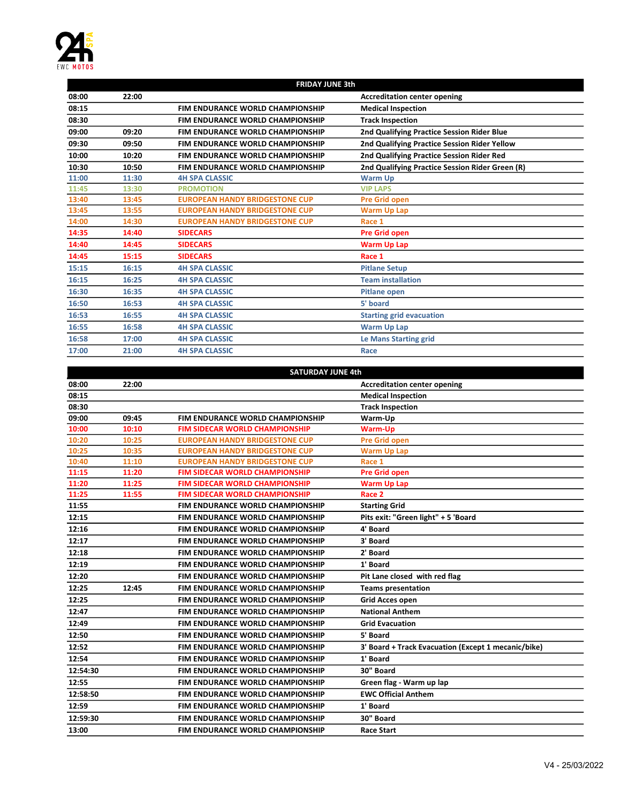

| <b>FRIDAY JUNE 3th</b> |       |                                         |                                                 |
|------------------------|-------|-----------------------------------------|-------------------------------------------------|
| 08:00                  | 22:00 |                                         | <b>Accreditation center opening</b>             |
| 08:15                  |       | <b>FIM ENDURANCE WORLD CHAMPIONSHIP</b> | <b>Medical Inspection</b>                       |
| 08:30                  |       | <b>FIM ENDURANCE WORLD CHAMPIONSHIP</b> | <b>Track Inspection</b>                         |
| 09:00                  | 09:20 | <b>FIM ENDURANCE WORLD CHAMPIONSHIP</b> | 2nd Qualifying Practice Session Rider Blue      |
| 09:30                  | 09:50 | <b>FIM ENDURANCE WORLD CHAMPIONSHIP</b> | 2nd Qualifying Practice Session Rider Yellow    |
| 10:00                  | 10:20 | FIM ENDURANCE WORLD CHAMPIONSHIP        | 2nd Qualifying Practice Session Rider Red       |
| 10:30                  | 10:50 | <b>FIM ENDURANCE WORLD CHAMPIONSHIP</b> | 2nd Qualifying Practice Session Rider Green (R) |
| 11:00                  | 11:30 | <b>4H SPA CLASSIC</b>                   | <b>Warm Up</b>                                  |
| 11:45                  | 13:30 | <b>PROMOTION</b>                        | <b>VIP LAPS</b>                                 |
| 13:40                  | 13:45 | <b>EUROPEAN HANDY BRIDGESTONE CUP</b>   | <b>Pre Grid open</b>                            |
| 13:45                  | 13:55 | <b>EUROPEAN HANDY BRIDGESTONE CUP</b>   | <b>Warm Up Lap</b>                              |
| 14:00                  | 14:30 | <b>EUROPEAN HANDY BRIDGESTONE CUP</b>   | Race 1                                          |
| 14:35                  | 14:40 | <b>SIDECARS</b>                         | <b>Pre Grid open</b>                            |
| 14:40                  | 14:45 | <b>SIDECARS</b>                         | <b>Warm Up Lap</b>                              |
| 14:45                  | 15:15 | <b>SIDECARS</b>                         | Race 1                                          |
| 15:15                  | 16:15 | <b>4H SPA CLASSIC</b>                   | <b>Pitlane Setup</b>                            |
| 16:15                  | 16:25 | <b>4H SPA CLASSIC</b>                   | <b>Team installation</b>                        |
| 16:30                  | 16:35 | <b>4H SPA CLASSIC</b>                   | <b>Pitlane open</b>                             |
| 16:50                  | 16:53 | <b>4H SPA CLASSIC</b>                   | 5' board                                        |
| 16:53                  | 16:55 | <b>4H SPA CLASSIC</b>                   | <b>Starting grid evacuation</b>                 |
| 16:55                  | 16:58 | <b>4H SPA CLASSIC</b>                   | <b>Warm Up Lap</b>                              |
| 16:58                  | 17:00 | <b>4H SPA CLASSIC</b>                   | <b>Le Mans Starting grid</b>                    |
| 17:00                  | 21:00 | <b>4H SPA CLASSIC</b>                   | Race                                            |

| <b>SATURDAY JUNE 4th</b> |       |                                         |                                                     |
|--------------------------|-------|-----------------------------------------|-----------------------------------------------------|
| 08:00                    | 22:00 |                                         | <b>Accreditation center opening</b>                 |
| 08:15                    |       |                                         | <b>Medical Inspection</b>                           |
| 08:30                    |       |                                         | <b>Track Inspection</b>                             |
| 09:00                    | 09:45 | FIM ENDURANCE WORLD CHAMPIONSHIP        | Warm-Up                                             |
| 10:00                    | 10:10 | <b>FIM SIDECAR WORLD CHAMPIONSHIP</b>   | <b>Warm-Up</b>                                      |
| 10:20                    | 10:25 | <b>EUROPEAN HANDY BRIDGESTONE CUP</b>   | <b>Pre Grid open</b>                                |
| 10:25                    | 10:35 | <b>EUROPEAN HANDY BRIDGESTONE CUP</b>   | <b>Warm Up Lap</b>                                  |
| 10:40                    | 11:10 | <b>EUROPEAN HANDY BRIDGESTONE CUP</b>   | Race 1                                              |
| 11:15                    | 11:20 | <b>FIM SIDECAR WORLD CHAMPIONSHIP</b>   | <b>Pre Grid open</b>                                |
| 11:20                    | 11:25 | <b>FIM SIDECAR WORLD CHAMPIONSHIP</b>   | <b>Warm Up Lap</b>                                  |
| 11:25                    | 11:55 | <b>FIM SIDECAR WORLD CHAMPIONSHIP</b>   | Race 2                                              |
| 11:55                    |       | FIM ENDURANCE WORLD CHAMPIONSHIP        | <b>Starting Grid</b>                                |
| 12:15                    |       | FIM ENDURANCE WORLD CHAMPIONSHIP        | Pits exit: "Green light" + 5 'Board                 |
| 12:16                    |       | <b>FIM ENDURANCE WORLD CHAMPIONSHIP</b> | 4' Board                                            |
| 12:17                    |       | <b>FIM ENDURANCE WORLD CHAMPIONSHIP</b> | 3' Board                                            |
| 12:18                    |       | FIM ENDURANCE WORLD CHAMPIONSHIP        | 2' Board                                            |
| 12:19                    |       | FIM ENDURANCE WORLD CHAMPIONSHIP        | 1' Board                                            |
| 12:20                    |       | FIM ENDURANCE WORLD CHAMPIONSHIP        | Pit Lane closed with red flag                       |
| 12:25                    | 12:45 | FIM ENDURANCE WORLD CHAMPIONSHIP        | <b>Teams presentation</b>                           |
| 12:25                    |       | <b>FIM ENDURANCE WORLD CHAMPIONSHIP</b> | <b>Grid Acces open</b>                              |
| 12:47                    |       | FIM ENDURANCE WORLD CHAMPIONSHIP        | <b>National Anthem</b>                              |
| 12:49                    |       | FIM ENDURANCE WORLD CHAMPIONSHIP        | <b>Grid Evacuation</b>                              |
| 12:50                    |       | FIM ENDURANCE WORLD CHAMPIONSHIP        | 5' Board                                            |
| 12:52                    |       | <b>FIM ENDURANCE WORLD CHAMPIONSHIP</b> | 3' Board + Track Evacuation (Except 1 mecanic/bike) |
| 12:54                    |       | <b>FIM ENDURANCE WORLD CHAMPIONSHIP</b> | 1' Board                                            |
| 12:54:30                 |       | FIM ENDURANCE WORLD CHAMPIONSHIP        | 30" Board                                           |
| 12:55                    |       | <b>FIM ENDURANCE WORLD CHAMPIONSHIP</b> | Green flag - Warm up lap                            |
| 12:58:50                 |       | FIM ENDURANCE WORLD CHAMPIONSHIP        | <b>EWC Official Anthem</b>                          |
| 12:59                    |       | <b>FIM ENDURANCE WORLD CHAMPIONSHIP</b> | 1' Board                                            |
| 12:59:30                 |       | FIM ENDURANCE WORLD CHAMPIONSHIP        | 30" Board                                           |
| 13:00                    |       | FIM ENDURANCE WORLD CHAMPIONSHIP        | <b>Race Start</b>                                   |